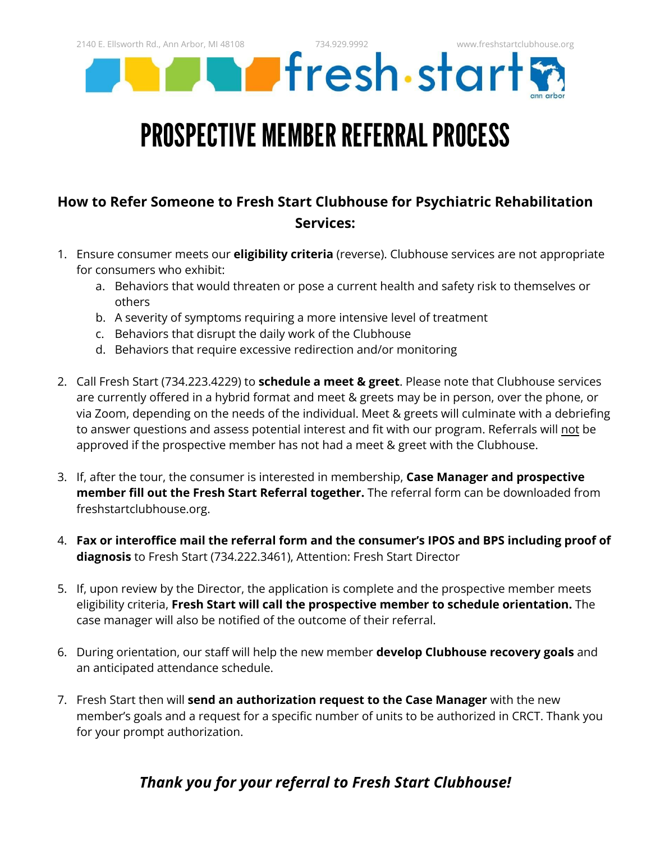Fresh start

### PROSPECTIVE MEMBER REFERRAL PROCESS

### **How to Refer Someone to Fresh Start Clubhouse for Psychiatric Rehabilitation Services:**

- 1. Ensure consumer meets our **eligibility criteria** (reverse). Clubhouse services are not appropriate for consumers who exhibit:
	- a. Behaviors that would threaten or pose a current health and safety risk to themselves or others
	- b. A severity of symptoms requiring a more intensive level of treatment
	- c. Behaviors that disrupt the daily work of the Clubhouse
	- d. Behaviors that require excessive redirection and/or monitoring
- 2. Call Fresh Start (734.223.4229) to **schedule a meet & greet**. Please note that Clubhouse services are currently offered in a hybrid format and meet & greets may be in person, over the phone, or via Zoom, depending on the needs of the individual. Meet & greets will culminate with a debriefing to answer questions and assess potential interest and fit with our program. Referrals will not be approved if the prospective member has not had a meet & greet with the Clubhouse.
- 3. If, after the tour, the consumer is interested in membership, **Case Manager and prospective member fill out the Fresh Start Referral together.** The referral form can be downloaded from freshstartclubhouse.org.
- 4. **Fax or interoffice mail the referral form and the consumer's IPOS and BPS including proof of diagnosis** to Fresh Start (734.222.3461), Attention: Fresh Start Director
- 5. If, upon review by the Director, the application is complete and the prospective member meets eligibility criteria, **Fresh Start will call the prospective member to schedule orientation.** The case manager will also be notified of the outcome of their referral.
- 6. During orientation, our staff will help the new member **develop Clubhouse recovery goals** and an anticipated attendance schedule.
- 7. Fresh Start then will **send an authorization request to the Case Manager** with the new member's goals and a request for a specific number of units to be authorized in CRCT. Thank you for your prompt authorization.

### *Thank you for your referral to Fresh Start Clubhouse!*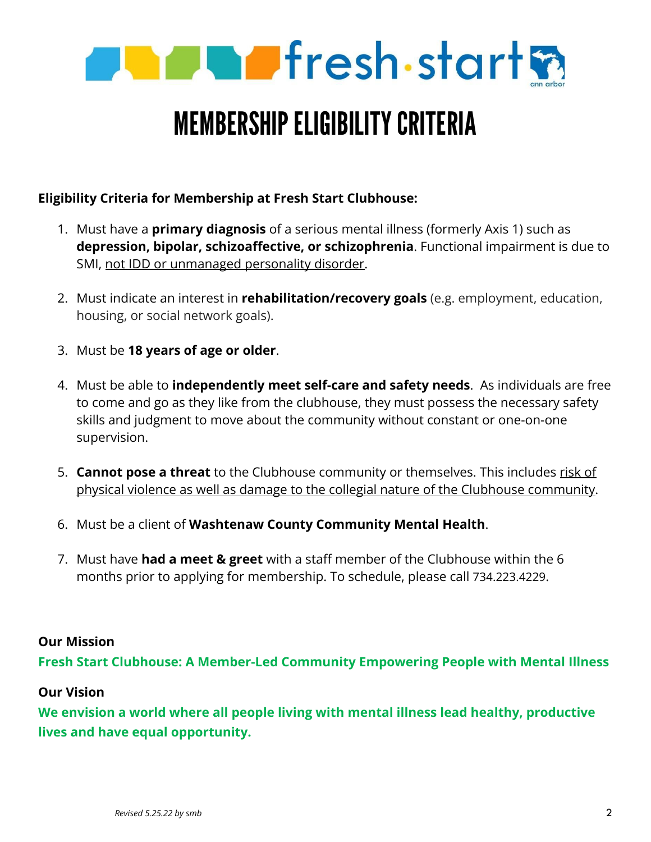

## **MEMBERSHIP ELIGIBILITY CRITERIA**

#### **Eligibility Criteria for Membership at Fresh Start Clubhouse:**

- 1. Must have a **primary diagnosis** of a serious mental illness (formerly Axis 1) such as **depression, bipolar, schizoaffective, or schizophrenia**. Functional impairment is due to SMI, not IDD or unmanaged personality disorder.
- 2. Must indicate an interest in **rehabilitation/recovery goals** (e.g. employment, education, housing, or social network goals).
- 3. Must be **18 years of age or older**.
- 4. Must be able to **independently meet self-care and safety needs**. As individuals are free to come and go as they like from the clubhouse, they must possess the necessary safety skills and judgment to move about the community without constant or one-on-one supervision.
- 5. **Cannot pose a threat** to the Clubhouse community or themselves. This includes risk of physical violence as well as damage to the collegial nature of the Clubhouse community.
- 6. Must be a client of **Washtenaw County Community Mental Health**.
- 7. Must have **had a meet & greet** with a staff member of the Clubhouse within the 6 months prior to applying for membership. To schedule, please call 734.223.4229.

#### **Our Mission**

**Fresh Start Clubhouse: A Member-Led Community Empowering People with Mental Illness**

#### **Our Vision**

**We envision a world where all people living with mental illness lead healthy, productive lives and have equal opportunity.**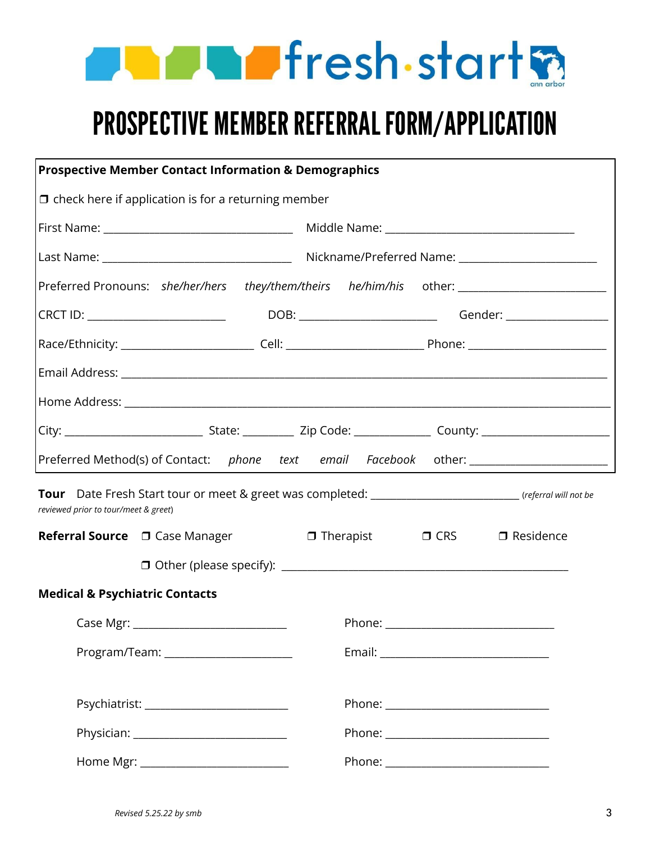

# PROSPECTIVE MEMBER REFERRAL FORM/APPLICATION

|                                           | <b>Prospective Member Contact Information &amp; Demographics</b> |  |  |  |  |                                                                                                          |  |  |
|-------------------------------------------|------------------------------------------------------------------|--|--|--|--|----------------------------------------------------------------------------------------------------------|--|--|
|                                           | $\Box$ check here if application is for a returning member       |  |  |  |  |                                                                                                          |  |  |
|                                           |                                                                  |  |  |  |  |                                                                                                          |  |  |
|                                           |                                                                  |  |  |  |  |                                                                                                          |  |  |
|                                           |                                                                  |  |  |  |  |                                                                                                          |  |  |
|                                           |                                                                  |  |  |  |  |                                                                                                          |  |  |
|                                           |                                                                  |  |  |  |  |                                                                                                          |  |  |
|                                           |                                                                  |  |  |  |  |                                                                                                          |  |  |
|                                           |                                                                  |  |  |  |  |                                                                                                          |  |  |
|                                           |                                                                  |  |  |  |  |                                                                                                          |  |  |
|                                           |                                                                  |  |  |  |  | Preferred Method(s) of Contact: phone text email Facebook other: ________________                        |  |  |
| reviewed prior to tour/meet & greet)      |                                                                  |  |  |  |  | Tour Date Fresh Start tour or meet & greet was completed: ________________________ (referral will not be |  |  |
|                                           |                                                                  |  |  |  |  | $\Box$ Therapist $\Box$ CRS $\Box$ Residence                                                             |  |  |
|                                           |                                                                  |  |  |  |  |                                                                                                          |  |  |
| <b>Medical &amp; Psychiatric Contacts</b> |                                                                  |  |  |  |  |                                                                                                          |  |  |
|                                           |                                                                  |  |  |  |  |                                                                                                          |  |  |
|                                           | Program/Team: ______________________                             |  |  |  |  |                                                                                                          |  |  |
|                                           |                                                                  |  |  |  |  |                                                                                                          |  |  |
|                                           |                                                                  |  |  |  |  |                                                                                                          |  |  |
|                                           | Home Mgr: __________________________                             |  |  |  |  |                                                                                                          |  |  |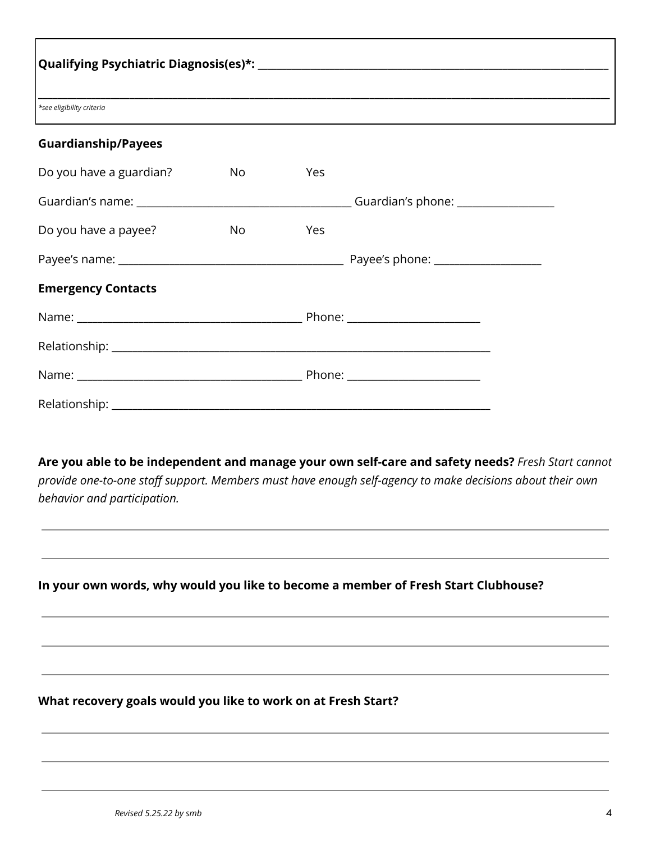| *see eligibility criteria  |                                                                                                                                                                                                                                |     |  |  |  |  |  |  |
|----------------------------|--------------------------------------------------------------------------------------------------------------------------------------------------------------------------------------------------------------------------------|-----|--|--|--|--|--|--|
| <b>Guardianship/Payees</b> |                                                                                                                                                                                                                                |     |  |  |  |  |  |  |
| Do you have a guardian?    | No l                                                                                                                                                                                                                           | Yes |  |  |  |  |  |  |
|                            |                                                                                                                                                                                                                                |     |  |  |  |  |  |  |
| Do you have a payee?       | No control to the North State of the North State of the North State of the North State of the North State of the North State of the North State of the North State of the North State of the North State of the North State of | Yes |  |  |  |  |  |  |
|                            |                                                                                                                                                                                                                                |     |  |  |  |  |  |  |
| <b>Emergency Contacts</b>  |                                                                                                                                                                                                                                |     |  |  |  |  |  |  |
|                            |                                                                                                                                                                                                                                |     |  |  |  |  |  |  |
|                            |                                                                                                                                                                                                                                |     |  |  |  |  |  |  |
|                            |                                                                                                                                                                                                                                |     |  |  |  |  |  |  |

**Are you able to be independent and manage your own self-care and safety needs?** *Fresh Start cannot provide one-to-one staff support. Members must have enough self-agency to make decisions about their own behavior and participation.*

**In your own words, why would you like to become a member of Fresh Start Clubhouse?**

**What recovery goals would you like to work on at Fresh Start?**

Relationship: \_\_\_\_\_\_\_\_\_\_\_\_\_\_\_\_\_\_\_\_\_\_\_\_\_\_\_\_\_\_\_\_\_\_\_\_\_\_\_\_\_\_\_\_\_\_\_\_\_\_\_\_\_\_\_\_\_\_\_\_\_\_\_\_\_\_\_\_\_\_\_\_\_\_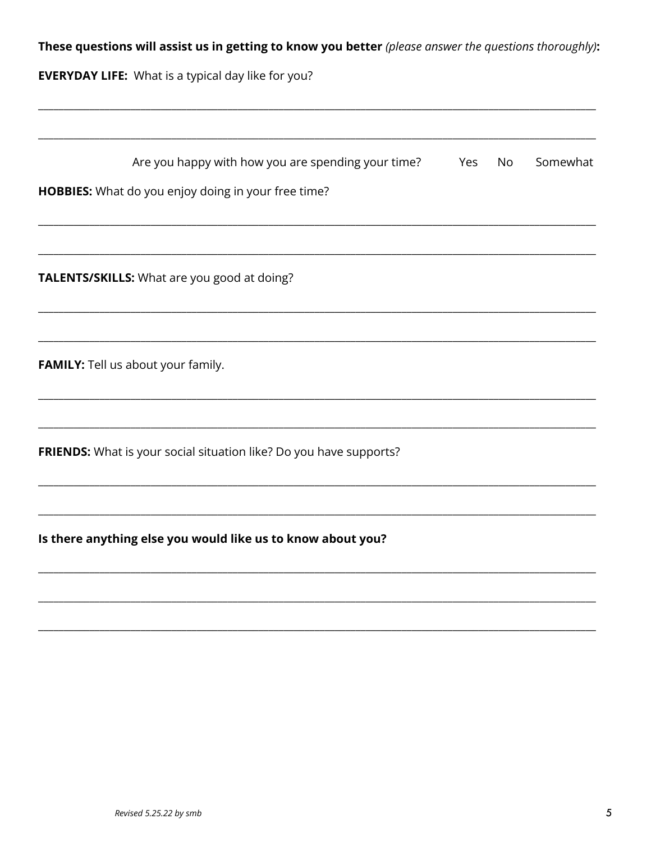| These questions will assist us in getting to know you better (please answer the questions thoroughly): |  |  |  |
|--------------------------------------------------------------------------------------------------------|--|--|--|
|--------------------------------------------------------------------------------------------------------|--|--|--|

**EVERYDAY LIFE:** What is a typical day like for you?

| Are you happy with how you are spending your time?                 | Yes | No | Somewhat |
|--------------------------------------------------------------------|-----|----|----------|
| HOBBIES: What do you enjoy doing in your free time?                |     |    |          |
|                                                                    |     |    |          |
| TALENTS/SKILLS: What are you good at doing?                        |     |    |          |
|                                                                    |     |    |          |
| FAMILY: Tell us about your family.                                 |     |    |          |
|                                                                    |     |    |          |
| FRIENDS: What is your social situation like? Do you have supports? |     |    |          |
|                                                                    |     |    |          |
| Is there anything else you would like us to know about you?        |     |    |          |
|                                                                    |     |    |          |
|                                                                    |     |    |          |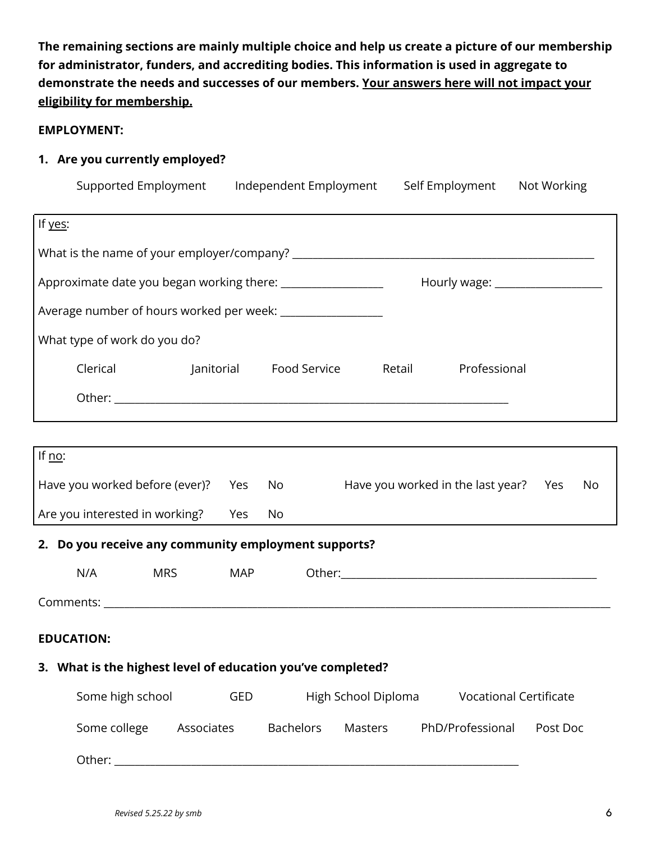**The remaining sections are mainly multiple choice and help us create a picture of our membership for administrator, funders, and accrediting bodies. This information is used in aggregate to demonstrate the needs and successes of our members. Your answers here will not impact your eligibility for membership.**

#### **EMPLOYMENT:**

#### **1. Are you currently employed?**

| Supported Employment                                                                                                                                                                                                          |                                   | Independent Employment      | Self Employment                       |                               | Not Working |  |  |  |  |  |
|-------------------------------------------------------------------------------------------------------------------------------------------------------------------------------------------------------------------------------|-----------------------------------|-----------------------------|---------------------------------------|-------------------------------|-------------|--|--|--|--|--|
| If yes:                                                                                                                                                                                                                       |                                   |                             |                                       |                               |             |  |  |  |  |  |
|                                                                                                                                                                                                                               |                                   |                             |                                       |                               |             |  |  |  |  |  |
| Approximate date you began working there: ____________________<br>Hourly wage: ___________________                                                                                                                            |                                   |                             |                                       |                               |             |  |  |  |  |  |
| Average number of hours worked per week: ________________                                                                                                                                                                     |                                   |                             |                                       |                               |             |  |  |  |  |  |
| What type of work do you do?                                                                                                                                                                                                  |                                   |                             |                                       |                               |             |  |  |  |  |  |
| Clerical                                                                                                                                                                                                                      |                                   | Janitorial Food Service     | Retail                                | Professional                  |             |  |  |  |  |  |
|                                                                                                                                                                                                                               |                                   |                             |                                       |                               |             |  |  |  |  |  |
|                                                                                                                                                                                                                               |                                   |                             |                                       |                               |             |  |  |  |  |  |
| If $\underline{no}$ :                                                                                                                                                                                                         |                                   |                             |                                       |                               |             |  |  |  |  |  |
| Have you worked before (ever)?                                                                                                                                                                                                | Yes                               | No                          | Have you worked in the last year? Yes |                               | No          |  |  |  |  |  |
| Are you interested in working?                                                                                                                                                                                                | Yes                               | No                          |                                       |                               |             |  |  |  |  |  |
| 2. Do you receive any community employment supports?                                                                                                                                                                          |                                   |                             |                                       |                               |             |  |  |  |  |  |
| N/A<br><b>MRS</b>                                                                                                                                                                                                             | MAP                               |                             |                                       |                               |             |  |  |  |  |  |
|                                                                                                                                                                                                                               |                                   |                             |                                       |                               |             |  |  |  |  |  |
| <b>EDUCATION:</b>                                                                                                                                                                                                             |                                   |                             |                                       |                               |             |  |  |  |  |  |
| 3. What is the highest level of education you've completed?                                                                                                                                                                   |                                   |                             |                                       |                               |             |  |  |  |  |  |
| Some high school                                                                                                                                                                                                              | High School Diploma<br><b>GED</b> |                             |                                       | <b>Vocational Certificate</b> |             |  |  |  |  |  |
| Some college                                                                                                                                                                                                                  | Associates                        | <b>Bachelors</b><br>Masters |                                       | PhD/Professional              | Post Doc    |  |  |  |  |  |
| Other: National Section of the Section of the Section of the Section of the Section of the Section of the Section of the Section of the Section of the Section of the Section of the Section of the Section of the Section of |                                   |                             |                                       |                               |             |  |  |  |  |  |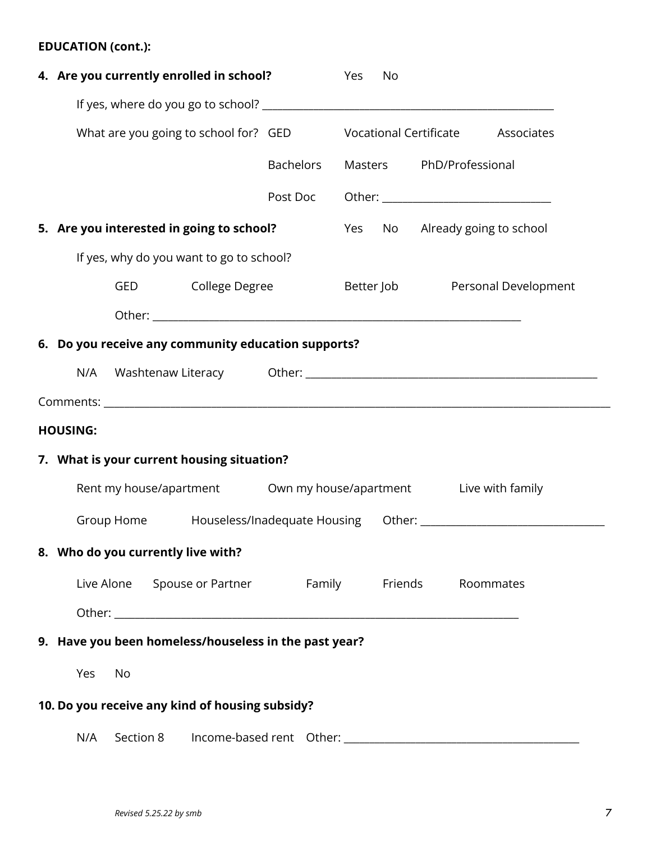#### **EDUCATION (cont.):**

| 4. Are you currently enrolled in school?                                         |           | Yes | No |                          |                                 |
|----------------------------------------------------------------------------------|-----------|-----|----|--------------------------|---------------------------------|
|                                                                                  |           |     |    |                          |                                 |
| What are you going to school for? GED Vocational Certificate Associates          |           |     |    |                          |                                 |
|                                                                                  | Bachelors |     |    | Masters PhD/Professional |                                 |
|                                                                                  | Post Doc  |     |    |                          |                                 |
| 5. Are you interested in going to school?                                        |           |     |    |                          | Yes No Already going to school  |
| If yes, why do you want to go to school?                                         |           |     |    |                          |                                 |
| GED College Degree                                                               |           |     |    |                          | Better Job Personal Development |
|                                                                                  |           |     |    |                          |                                 |
| 6. Do you receive any community education supports?                              |           |     |    |                          |                                 |
| N/A                                                                              |           |     |    |                          |                                 |
|                                                                                  |           |     |    |                          |                                 |
| <b>HOUSING:</b>                                                                  |           |     |    |                          |                                 |
| 7. What is your current housing situation?                                       |           |     |    |                          |                                 |
| Rent my house/apartment Own my house/apartment Live with family                  |           |     |    |                          |                                 |
| Group Home Houseless/Inadequate Housing Other: _________________________________ |           |     |    |                          |                                 |
| 8. Who do you currently live with?                                               |           |     |    |                          |                                 |
| Live Alone Spouse or Partner Family Friends                                      |           |     |    |                          | Roommates                       |
|                                                                                  |           |     |    |                          |                                 |
| 9. Have you been homeless/houseless in the past year?                            |           |     |    |                          |                                 |
| Yes<br>No                                                                        |           |     |    |                          |                                 |
| 10. Do you receive any kind of housing subsidy?                                  |           |     |    |                          |                                 |
| N/A<br>Section 8                                                                 |           |     |    |                          |                                 |
|                                                                                  |           |     |    |                          |                                 |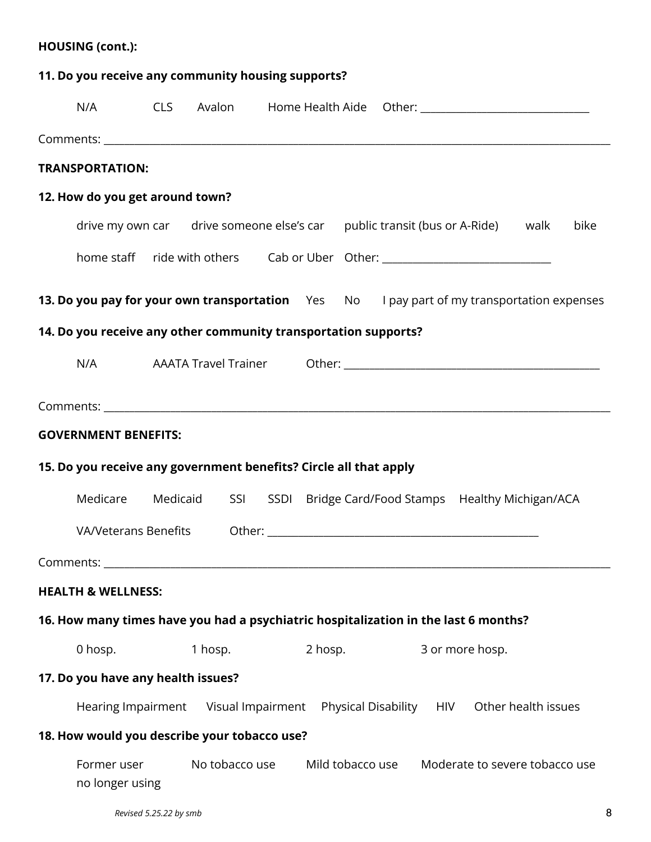| <b>HOUSING (cont.):</b>                                                             |                      |                |                  |                                                                                            |      |
|-------------------------------------------------------------------------------------|----------------------|----------------|------------------|--------------------------------------------------------------------------------------------|------|
| 11. Do you receive any community housing supports?                                  |                      |                |                  |                                                                                            |      |
|                                                                                     |                      |                |                  | N/A CLS Avalon Home Health Aide Other: 1980 1991 1992                                      |      |
|                                                                                     |                      |                |                  |                                                                                            |      |
| <b>TRANSPORTATION:</b>                                                              |                      |                |                  |                                                                                            |      |
| 12. How do you get around town?                                                     |                      |                |                  |                                                                                            |      |
|                                                                                     |                      |                |                  | drive my own car drive someone else's car public transit (bus or A-Ride) walk              | bike |
|                                                                                     |                      |                |                  | home staff ride with others Cab or Uber Other: _________________________________           |      |
|                                                                                     |                      |                |                  | 13. Do you pay for your own transportation Yes No I pay part of my transportation expenses |      |
| 14. Do you receive any other community transportation supports?                     |                      |                |                  |                                                                                            |      |
|                                                                                     |                      |                |                  |                                                                                            |      |
|                                                                                     |                      |                |                  |                                                                                            |      |
| <b>GOVERNMENT BENEFITS:</b>                                                         |                      |                |                  |                                                                                            |      |
| 15. Do you receive any government benefits? Circle all that apply                   |                      |                |                  |                                                                                            |      |
| Medicare                                                                            | Medicaid             |                |                  | SSI SSDI Bridge Card/Food Stamps Healthy Michigan/ACA                                      |      |
|                                                                                     | VA/Veterans Benefits |                |                  |                                                                                            |      |
| Comments: www.astronometer.com/                                                     |                      |                |                  |                                                                                            |      |
| <b>HEALTH &amp; WELLNESS:</b>                                                       |                      |                |                  |                                                                                            |      |
| 16. How many times have you had a psychiatric hospitalization in the last 6 months? |                      |                |                  |                                                                                            |      |
| 0 hosp.                                                                             | 1 hosp.              |                | 2 hosp.          | 3 or more hosp.                                                                            |      |
| 17. Do you have any health issues?                                                  |                      |                |                  |                                                                                            |      |
|                                                                                     |                      |                |                  | Hearing Impairment Visual Impairment Physical Disability HIV Other health issues           |      |
| 18. How would you describe your tobacco use?                                        |                      |                |                  |                                                                                            |      |
| Former user<br>no longer using                                                      |                      | No tobacco use | Mild tobacco use | Moderate to severe tobacco use                                                             |      |